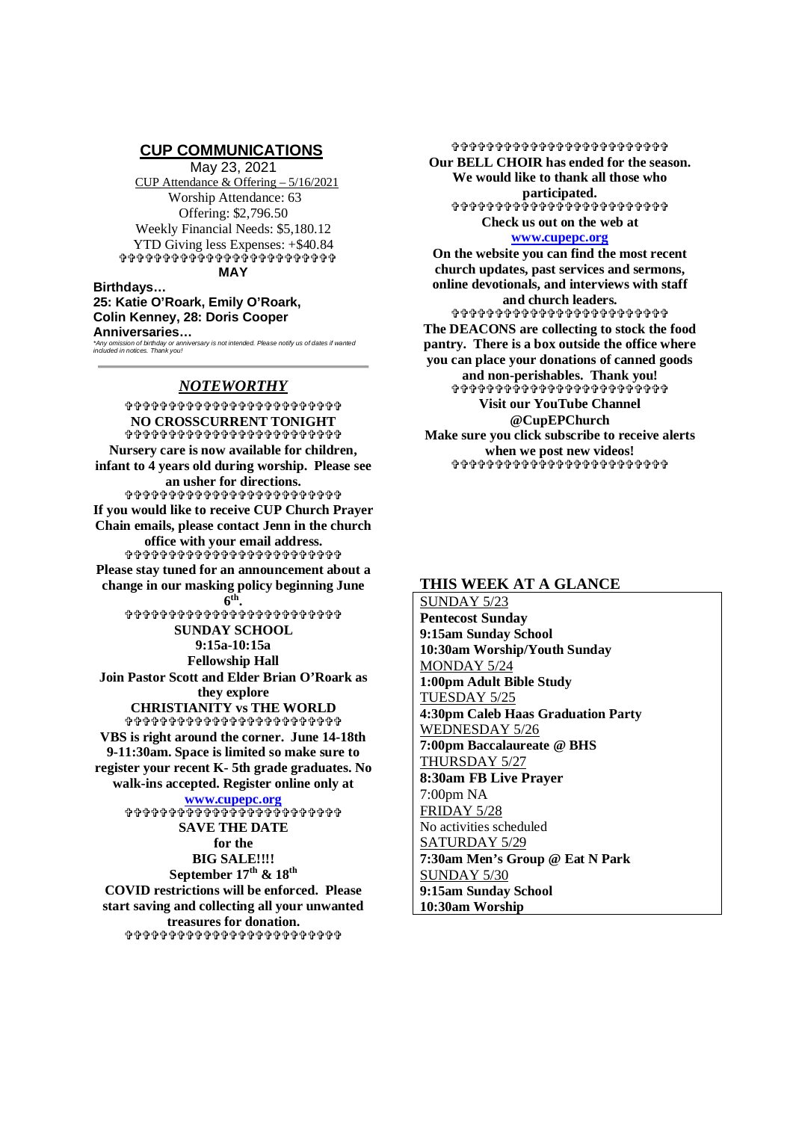## **CUP COMMUNICATIONS**

May 23, 2021 CUP Attendance & Offering – 5/16/2021 Worship Attendance: 63 Offering: \$2,796.50 Weekly Financial Needs: \$5,180.12 YTD Giving less Expenses: +\$40.84 **ቀቀቀቀቀቀቀቀቀቀቀቀቀቀቀቀቀቀ**ቀቀ **MAY**

#### **Birthdays… 25: Katie O'Roark, Emily O'Roark, Colin Kenney, 28: Doris Cooper Anniversaries…**

*\*Any omission of birthday or anniversary is not intended. Please notify us of dates if wanted included in notices. Thank you!*

# *NOTEWORTHY*

**\$\$\$\$\$\$\$\$\$\$\$\$\$\$\$\$\$\$\$\$\$\$\$\$ NO CROSSCURRENT TONIGHT ቀቀቀቀቀቀቀቀቀቀቀቀቀቀቀቀቀቀ**ቀቀቀ **Nursery care is now available for children, infant to 4 years old during worship. Please see an usher for directions.** \*\*\*\*\*\*\*\*\*\*\*\*\*\*\*\*\*\*\*\*\*\*\*\* **If you would like to receive CUP Church Prayer Chain emails, please contact Jenn in the church office with your email address. Please stay tuned for an announcement about a change in our masking policy beginning June 6 th . ቀቀቀቀቀቀቀቀቀቀቀቀቀቀቀቀቀ**ቀቀቀቀቀ **SUNDAY SCHOOL 9:15a-10:15a Fellowship Hall Join Pastor Scott and Elder Brian O'Roark as they explore CHRISTIANITY vs THE WORLD** \$\$\$\$\$\$\$\$\$\$\$\$\$\$\$\$\$\$\$\$\$\$\$\$\$ **VBS is right around the corner. June 14-18th 9-11:30am. Space is limited so make sure to register your recent K- 5th grade graduates. No walk-ins accepted. Register online only at www.cupepc.org SAVE THE DATE for the BIG SALE!!!! September 17th & 18th COVID restrictions will be enforced. Please start saving and collecting all your unwanted treasures for donation.**

\$\$\$\$\$\$\$\$\$\$\$\$\$\$\$\$\$\$\$\$\$\$\$\$\$

\$\$\$\$\$\$\$\$\$\$\$\$\$\$\$\$\$\$\$\$\$\$\$\$\$ **Our BELL CHOIR has ended for the season. We would like to thank all those who participated.** ቀቀቀቀቀቀቀቅ<u>ቀቀቀ</u>ቀቀቀቀቀቀቀቀቀቀቀ **Check us out on the web at www.cupepc.org On the website you can find the most recent church updates, past services and sermons, online devotionals, and interviews with staff and church leaders. \$\$\$\$\$\$\$\$\$\$\$\$\$\$\$\$\$\$\$\$\$\$\$ The DEACONS are collecting to stock the food pantry. There is a box outside the office where**

**you can place your donations of canned goods and non-perishables. Thank you!** \$\$\$\$\$\$\$\$\$\$\$\$\$\$\$\$\$\$\$\$\$\$\$\$\$ **Visit our YouTube Channel @CupEPChurch Make sure you click subscribe to receive alerts when we post new videos! ቀቀቀቀቀቀቀቀቀቀቀቀቀቀቀቀቀቀቀ**ቀ

# **THIS WEEK AT A GLANCE**

SUNDAY 5/23 **Pentecost Sunday 9:15am Sunday School 10:30am Worship/Youth Sunday** MONDAY 5/24 **1:00pm Adult Bible Study** TUESDAY 5/25 **4:30pm Caleb Haas Graduation Party** WEDNESDAY 5/26 **7:00pm Baccalaureate @ BHS** THURSDAY 5/27 **8:30am FB Live Prayer** 7:00pm NA FRIDAY 5/28 No activities scheduled SATURDAY 5/29 **7:30am Men's Group @ Eat N Park** SUNDAY 5/30 **9:15am Sunday School 10:30am Worship**